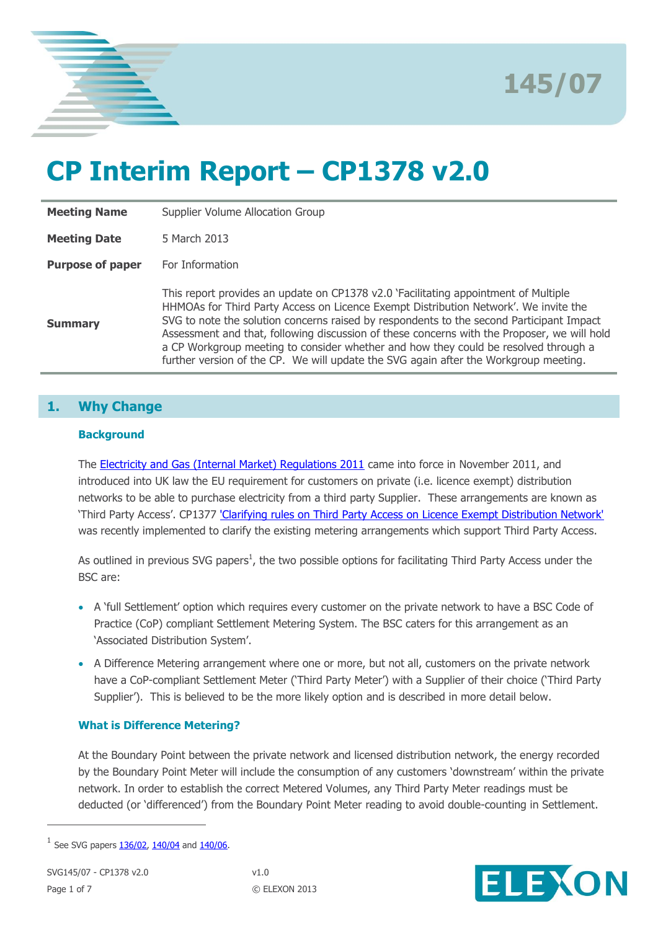



# **CP Interim Report – CP1378 v2.0**

| <b>Meeting Name</b>     | Supplier Volume Allocation Group                                                                                                                                                                                                                                                                                                                                                                                                                                                                                                                      |
|-------------------------|-------------------------------------------------------------------------------------------------------------------------------------------------------------------------------------------------------------------------------------------------------------------------------------------------------------------------------------------------------------------------------------------------------------------------------------------------------------------------------------------------------------------------------------------------------|
| <b>Meeting Date</b>     | 5 March 2013                                                                                                                                                                                                                                                                                                                                                                                                                                                                                                                                          |
| <b>Purpose of paper</b> | For Information                                                                                                                                                                                                                                                                                                                                                                                                                                                                                                                                       |
| <b>Summary</b>          | This report provides an update on CP1378 v2.0 `Facilitating appointment of Multiple<br>HHMOAs for Third Party Access on Licence Exempt Distribution Network'. We invite the<br>SVG to note the solution concerns raised by respondents to the second Participant Impact<br>Assessment and that, following discussion of these concerns with the Proposer, we will hold<br>a CP Workgroup meeting to consider whether and how they could be resolved through a<br>further version of the CP. We will update the SVG again after the Workgroup meeting. |

# **1. Why Change**

### **Background**

The **Electricity and Gas (Internal Market) Regulations 2011** came into force in November 2011, and introduced into UK law the EU requirement for customers on private (i.e. licence exempt) distribution networks to be able to purchase electricity from a third party Supplier. These arrangements are known as 'Third Party Access'. CP1377 'Clarifying rules on Third Party [Access on Licence Exempt Distribution Network'](http://www.elexon.co.uk/change-proposal/cp1377/) was recently implemented to clarify the existing metering arrangements which support Third Party Access.

As outlined in previous SVG papers<sup>1</sup>, the two possible options for facilitating Third Party Access under the BSC are:

- A 'full Settlement' option which requires every customer on the private network to have a BSC Code of Practice (CoP) compliant Settlement Metering System. The BSC caters for this arrangement as an 'Associated Distribution System'.
- A Difference Metering arrangement where one or more, but not all, customers on the private network have a CoP-compliant Settlement Meter ('Third Party Meter') with a Supplier of their choice ('Third Party Supplier'). This is believed to be the more likely option and is described in more detail below.

### **What is Difference Metering?**

At the Boundary Point between the private network and licensed distribution network, the energy recorded by the Boundary Point Meter will include the consumption of any customers 'downstream' within the private network. In order to establish the correct Metered Volumes, any Third Party Meter readings must be deducted (or 'differenced') from the Boundary Point Meter reading to avoid double-counting in Settlement.



 $^{1}$  See SVG papers  $\underline{136/02}$ ,  $\underline{140/04}$  and  $\underline{140/06}$ .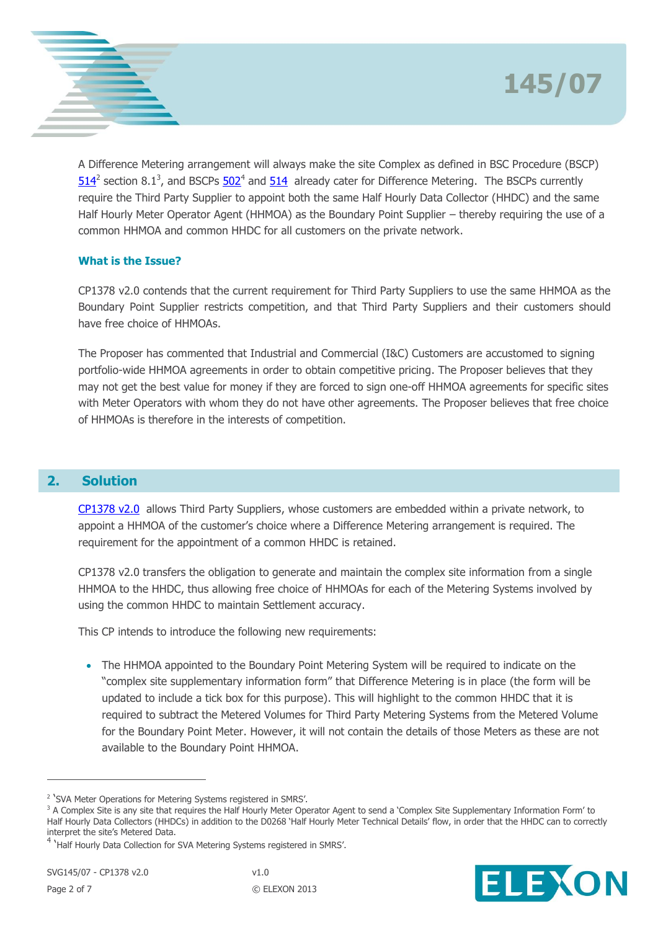



A Difference Metering arrangement will always make the site Complex as defined in BSC Procedure (BSCP)  $514^2$  $514^2$  section 8.1<sup>3</sup>, and BSCPs  $502^4$  and  $514$  already cater for Difference Metering. The BSCPs currently require the Third Party Supplier to appoint both the same Half Hourly Data Collector (HHDC) and the same Half Hourly Meter Operator Agent (HHMOA) as the Boundary Point Supplier – thereby requiring the use of a common HHMOA and common HHDC for all customers on the private network.

## **What is the Issue?**

CP1378 v2.0 contends that the current requirement for Third Party Suppliers to use the same HHMOA as the Boundary Point Supplier restricts competition, and that Third Party Suppliers and their customers should have free choice of HHMOAs.

The Proposer has commented that Industrial and Commercial (I&C) Customers are accustomed to signing portfolio-wide HHMOA agreements in order to obtain competitive pricing. The Proposer believes that they may not get the best value for money if they are forced to sign one-off HHMOA agreements for specific sites with Meter Operators with whom they do not have other agreements. The Proposer believes that free choice of HHMOAs is therefore in the interests of competition.

## **2. Solution**

[CP1378](http://www.elexon.co.uk/change-proposal/cp1378/) v2.0 allows Third Party Suppliers, whose customers are embedded within a private network, to appoint a HHMOA of the customer's choice where a Difference Metering arrangement is required. The requirement for the appointment of a common HHDC is retained.

CP1378 v2.0 transfers the obligation to generate and maintain the complex site information from a single HHMOA to the HHDC, thus allowing free choice of HHMOAs for each of the Metering Systems involved by using the common HHDC to maintain Settlement accuracy.

This CP intends to introduce the following new requirements:

• The HHMOA appointed to the Boundary Point Metering System will be required to indicate on the "complex site supplementary information form" that Difference Metering is in place (the form will be updated to include a tick box for this purpose). This will highlight to the common HHDC that it is required to subtract the Metered Volumes for Third Party Metering Systems from the Metered Volume for the Boundary Point Meter. However, it will not contain the details of those Meters as these are not available to the Boundary Point HHMOA.



<sup>&</sup>lt;sup>2</sup> 'SVA Meter Operations for Metering Systems registered in SMRS'.

<sup>&</sup>lt;sup>3</sup> A Complex Site is any site that requires the Half Hourly Meter Operator Agent to send a 'Complex Site Supplementary Information Form' to Half Hourly Data Collectors (HHDCs) in addition to the D0268 'Half Hourly Meter Technical Details' flow, in order that the HHDC can to correctly interpret the site's Metered Data.

<sup>&</sup>lt;sup>4</sup> 'Half Hourly Data Collection for SVA Metering Systems registered in SMRS'.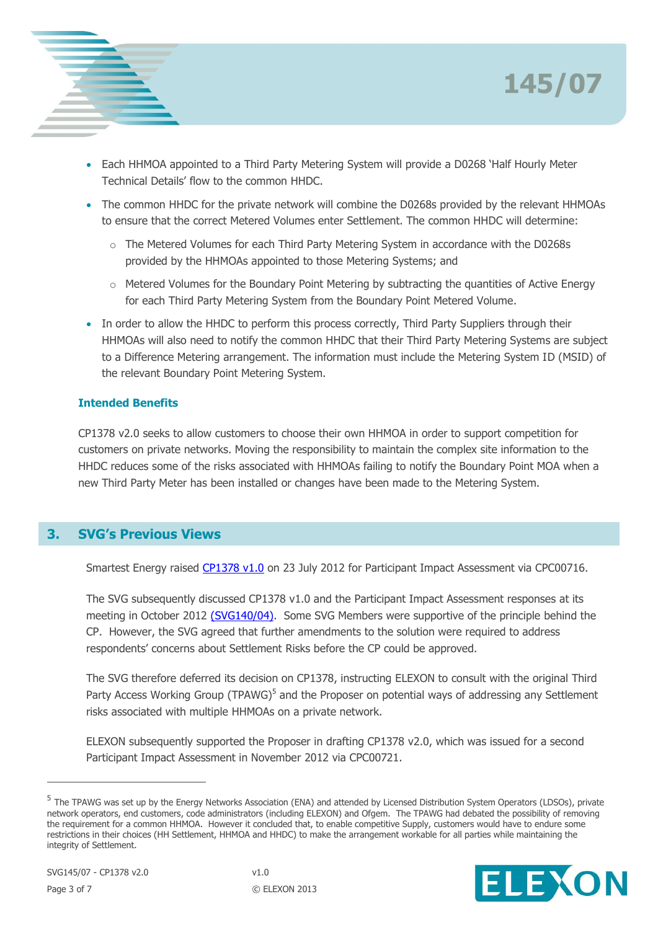



- Each HHMOA appointed to a Third Party Metering System will provide a D0268 'Half Hourly Meter Technical Details' flow to the common HHDC.
- The common HHDC for the private network will combine the D0268s provided by the relevant HHMOAs to ensure that the correct Metered Volumes enter Settlement. The common HHDC will determine:
	- o The Metered Volumes for each Third Party Metering System in accordance with the D0268s provided by the HHMOAs appointed to those Metering Systems; and
	- o Metered Volumes for the Boundary Point Metering by subtracting the quantities of Active Energy for each Third Party Metering System from the Boundary Point Metered Volume.
- In order to allow the HHDC to perform this process correctly, Third Party Suppliers through their HHMOAs will also need to notify the common HHDC that their Third Party Metering Systems are subject to a Difference Metering arrangement. The information must include the Metering System ID (MSID) of the relevant Boundary Point Metering System.

### **Intended Benefits**

CP1378 v2.0 seeks to allow customers to choose their own HHMOA in order to support competition for customers on private networks. Moving the responsibility to maintain the complex site information to the HHDC reduces some of the risks associated with HHMOAs failing to notify the Boundary Point MOA when a new Third Party Meter has been installed or changes have been made to the Metering System.

# **3. SVG's Previous Views**

Smartest Energy raised [CP1378](http://www.elexon.co.uk/change-proposal/cp1378/) v1.0 on 23 July 2012 for Participant Impact Assessment via CPC00716.

The SVG subsequently discussed CP1378 v1.0 and the Participant Impact Assessment responses at its meeting in October 2012 [\(SVG140/04\).](http://www.elexon.co.uk/wp-content/uploads/2012/09/SVG140_04_CPs137778_v1.0.pdf) Some SVG Members were supportive of the principle behind the CP. However, the SVG agreed that further amendments to the solution were required to address respondents' concerns about Settlement Risks before the CP could be approved.

The SVG therefore deferred its decision on CP1378, instructing ELEXON to consult with the original Third Party Access Working Group (TPAWG)<sup>5</sup> and the Proposer on potential ways of addressing any Settlement risks associated with multiple HHMOAs on a private network.

ELEXON subsequently supported the Proposer in drafting CP1378 v2.0, which was issued for a second Participant Impact Assessment in November 2012 via CPC00721.

<sup>&</sup>lt;sup>5</sup> The TPAWG was set up by the Energy Networks Association (ENA) and attended by Licensed Distribution System Operators (LDSOs), private network operators, end customers, code administrators (including ELEXON) and Ofgem. The TPAWG had debated the possibility of removing the requirement for a common HHMOA. However it concluded that, to enable competitive Supply, customers would have to endure some restrictions in their choices (HH Settlement, HHMOA and HHDC) to make the arrangement workable for all parties while maintaining the integrity of Settlement.

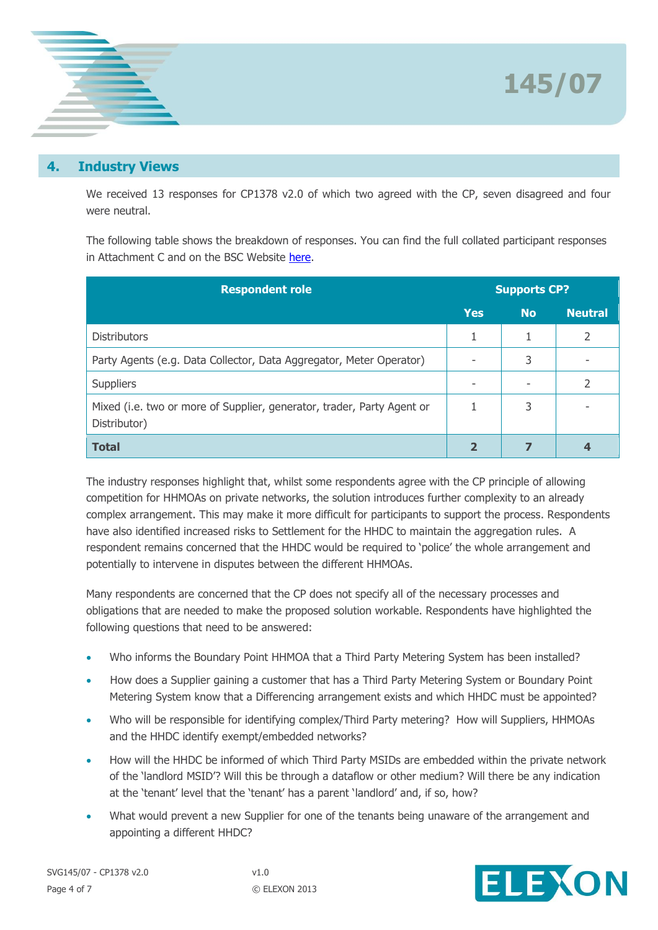



## **4. Industry Views**

We received 13 responses for CP1378 v2.0 of which two agreed with the CP, seven disagreed and four were neutral.

The following table shows the breakdown of responses. You can find the full collated participant responses in Attachment C and on the BSC Website [here.](http://www.elexon.co.uk/about/insights-consultations-cpcs/change-proposal-circulars/)

| <b>Respondent role</b>                                                                 |            | <b>Supports CP?</b> |                |  |
|----------------------------------------------------------------------------------------|------------|---------------------|----------------|--|
|                                                                                        | <b>Yes</b> | <b>No</b>           | <b>Neutral</b> |  |
| <b>Distributors</b>                                                                    |            |                     | 2              |  |
| Party Agents (e.g. Data Collector, Data Aggregator, Meter Operator)                    |            | 3                   |                |  |
| <b>Suppliers</b>                                                                       |            |                     |                |  |
| Mixed (i.e. two or more of Supplier, generator, trader, Party Agent or<br>Distributor) |            | 3                   |                |  |
| <b>Total</b>                                                                           |            |                     |                |  |

The industry responses highlight that, whilst some respondents agree with the CP principle of allowing competition for HHMOAs on private networks, the solution introduces further complexity to an already complex arrangement. This may make it more difficult for participants to support the process. Respondents have also identified increased risks to Settlement for the HHDC to maintain the aggregation rules. A respondent remains concerned that the HHDC would be required to 'police' the whole arrangement and potentially to intervene in disputes between the different HHMOAs.

Many respondents are concerned that the CP does not specify all of the necessary processes and obligations that are needed to make the proposed solution workable. Respondents have highlighted the following questions that need to be answered:

- Who informs the Boundary Point HHMOA that a Third Party Metering System has been installed?
- How does a Supplier gaining a customer that has a Third Party Metering System or Boundary Point Metering System know that a Differencing arrangement exists and which HHDC must be appointed?
- Who will be responsible for identifying complex/Third Party metering? How will Suppliers, HHMOAs and the HHDC identify exempt/embedded networks?
- How will the HHDC be informed of which Third Party MSIDs are embedded within the private network of the 'landlord MSID'? Will this be through a dataflow or other medium? Will there be any indication at the 'tenant' level that the 'tenant' has a parent 'landlord' and, if so, how?
- What would prevent a new Supplier for one of the tenants being unaware of the arrangement and appointing a different HHDC?



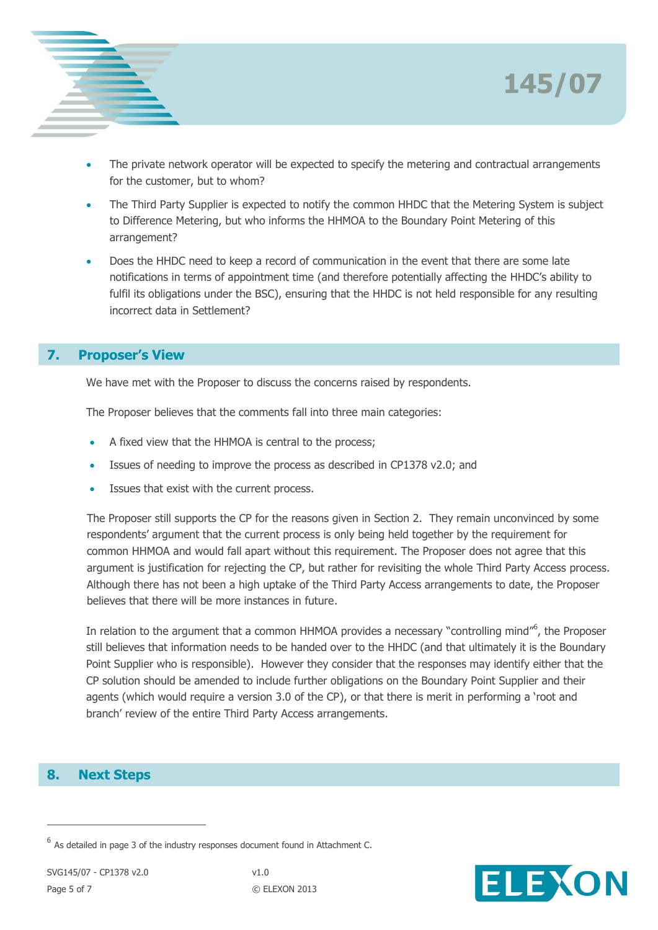



- The private network operator will be expected to specify the metering and contractual arrangements for the customer, but to whom?
- The Third Party Supplier is expected to notify the common HHDC that the Metering System is subject to Difference Metering, but who informs the HHMOA to the Boundary Point Metering of this arrangement?
- Does the HHDC need to keep a record of communication in the event that there are some late notifications in terms of appointment time (and therefore potentially affecting the HHDC's ability to fulfil its obligations under the BSC), ensuring that the HHDC is not held responsible for any resulting incorrect data in Settlement?

# **7. Proposer's View**

We have met with the Proposer to discuss the concerns raised by respondents.

The Proposer believes that the comments fall into three main categories:

- A fixed view that the HHMOA is central to the process;
- Issues of needing to improve the process as described in CP1378 v2.0; and
- Issues that exist with the current process.

The Proposer still supports the CP for the reasons given in Section 2. They remain unconvinced by some respondents' argument that the current process is only being held together by the requirement for common HHMOA and would fall apart without this requirement. The Proposer does not agree that this argument is justification for rejecting the CP, but rather for revisiting the whole Third Party Access process. Although there has not been a high uptake of the Third Party Access arrangements to date, the Proposer believes that there will be more instances in future.

In relation to the argument that a common HHMOA provides a necessary "controlling mind"<sup>6</sup>, the Proposer still believes that information needs to be handed over to the HHDC (and that ultimately it is the Boundary Point Supplier who is responsible). However they consider that the responses may identify either that the CP solution should be amended to include further obligations on the Boundary Point Supplier and their agents (which would require a version 3.0 of the CP), or that there is merit in performing a 'root and branch' review of the entire Third Party Access arrangements.

## **8. Next Steps**



 $^6$  As detailed in page 3 of the industry responses document found in Attachment C.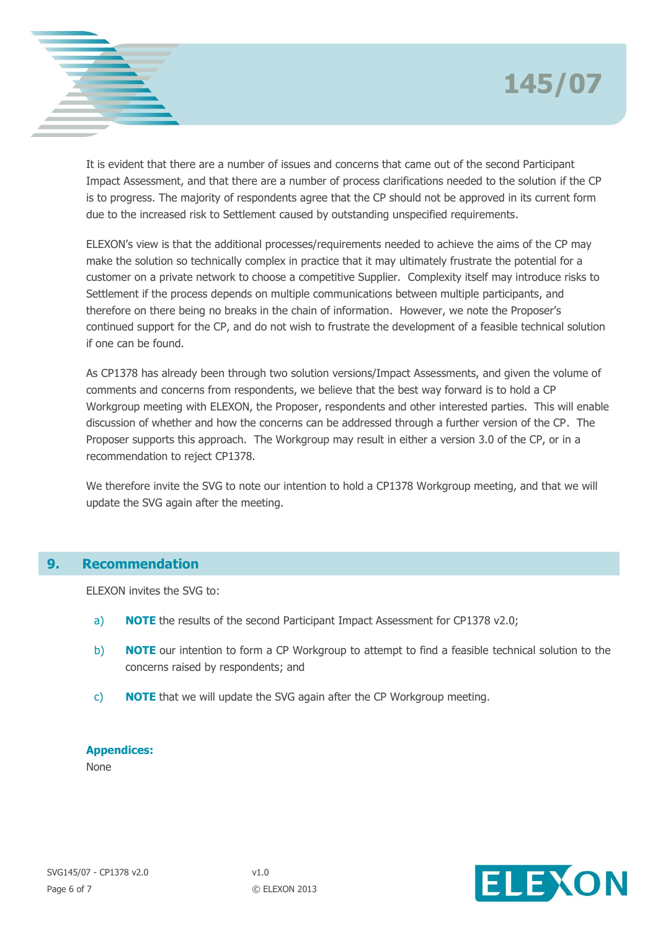# **145/07**



It is evident that there are a number of issues and concerns that came out of the second Participant Impact Assessment, and that there are a number of process clarifications needed to the solution if the CP is to progress. The majority of respondents agree that the CP should not be approved in its current form due to the increased risk to Settlement caused by outstanding unspecified requirements.

ELEXON's view is that the additional processes/requirements needed to achieve the aims of the CP may make the solution so technically complex in practice that it may ultimately frustrate the potential for a customer on a private network to choose a competitive Supplier. Complexity itself may introduce risks to Settlement if the process depends on multiple communications between multiple participants, and therefore on there being no breaks in the chain of information. However, we note the Proposer's continued support for the CP, and do not wish to frustrate the development of a feasible technical solution if one can be found.

As CP1378 has already been through two solution versions/Impact Assessments, and given the volume of comments and concerns from respondents, we believe that the best way forward is to hold a CP Workgroup meeting with ELEXON, the Proposer, respondents and other interested parties. This will enable discussion of whether and how the concerns can be addressed through a further version of the CP. The Proposer supports this approach. The Workgroup may result in either a version 3.0 of the CP, or in a recommendation to reject CP1378.

We therefore invite the SVG to note our intention to hold a CP1378 Workgroup meeting, and that we will update the SVG again after the meeting.

## **9. Recommendation**

ELEXON invites the SVG to:

- a) **NOTE** the results of the second Participant Impact Assessment for CP1378 v2.0;
- b) **NOTE** our intention to form a CP Workgroup to attempt to find a feasible technical solution to the concerns raised by respondents; and
- c) **NOTE** that we will update the SVG again after the CP Workgroup meeting.

#### **Appendices:**

None